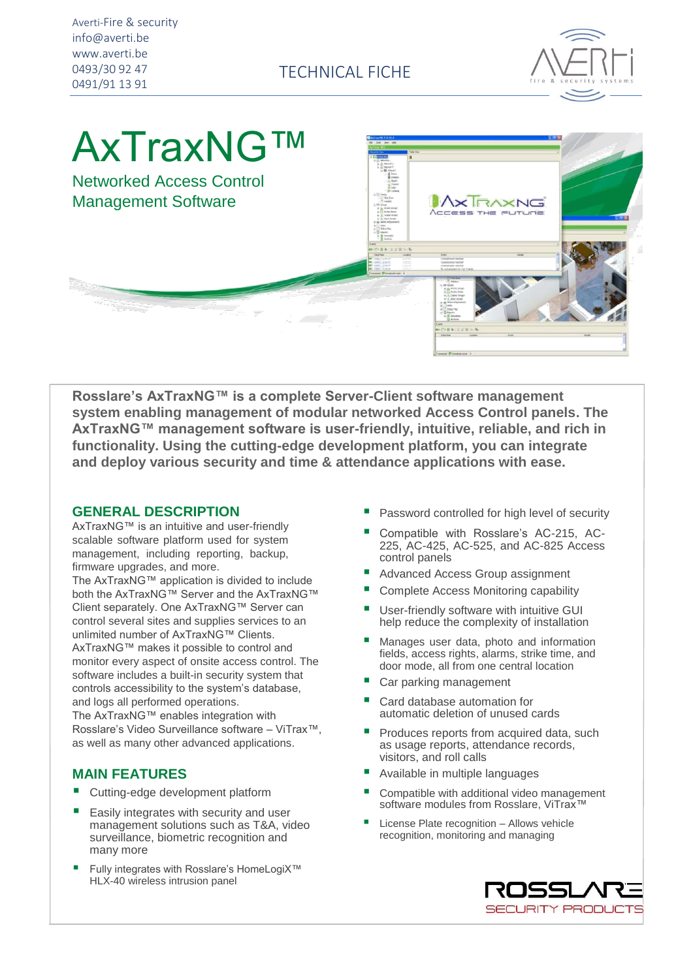TECHNICAL FICHE



# AxTraxNG™

Networked Access Control Management Software



**Rosslare's AxTraxNG™ is a complete Server-Client software management system enabling management of modular networked Access Control panels. The AxTraxNG™ management software is user-friendly, intuitive, reliable, and rich in functionality. Using the cutting-edge development platform, you can integrate and deploy various security and time & attendance applications with ease.**

#### **GENERAL DESCRIPTION**

AxTraxNG™ is an intuitive and user-friendly scalable software platform used for system management, including reporting, backup, firmware upgrades, and more.

The AxTraxNG™ application is divided to include both the AxTraxNG™ Server and the AxTraxNG™ Client separately. One AxTraxNG™ Server can control several sites and supplies services to an unlimited number of AxTraxNG™ Clients. AxTraxNG™ makes it possible to control and monitor every aspect of onsite access control. The software includes a built-in security system that controls accessibility to the system's database, and logs all performed operations.

The AxTraxNG™ enables integration with Rosslare's Video Surveillance software – ViTrax™, as well as many other advanced applications.

### **MAIN FEATURES**

- Cutting-edge development platform
- Easily integrates with security and user management solutions such as T&A, video surveillance, biometric recognition and many more
- Fully integrates with Rosslare's HomeLogiX™ HLX-40 wireless intrusion panel
- Password controlled for high level of security
- Compatible with Rosslare's AC-215, AC-225, AC-425, AC-525, and AC-825 Access control panels
- Advanced Access Group assignment
- Complete Access Monitoring capability
- User-friendly software with intuitive GUI help reduce the complexity of installation
- Manages user data, photo and information fields, access rights, alarms, strike time, and door mode, all from one central location
- Car parking management
- Card database automation for automatic deletion of unused cards
- Produces reports from acquired data, such as usage reports, attendance records, visitors, and roll calls
- Available in multiple languages
- Compatible with additional video management software modules from Rosslare, ViTrax™
- License Plate recognition Allows vehicle recognition, monitoring and managing